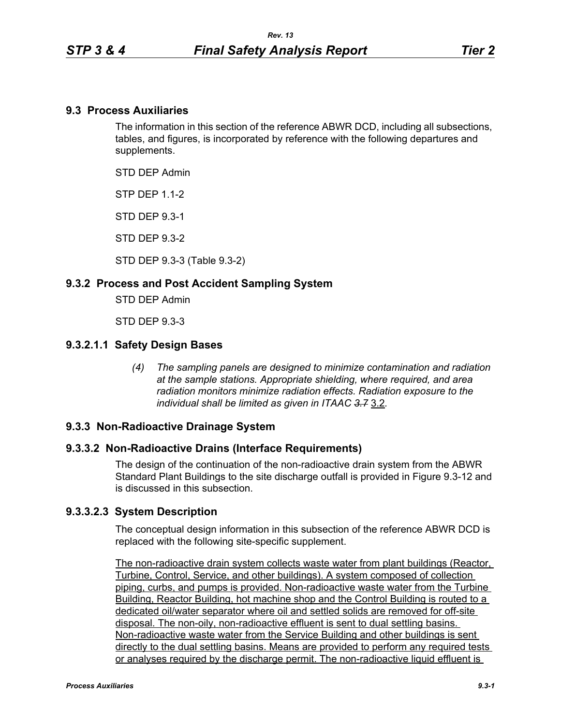### **9.3 Process Auxiliaries**

The information in this section of the reference ABWR DCD, including all subsections, tables, and figures, is incorporated by reference with the following departures and supplements.

STD DEP Admin

**STP DFP 11-2** 

STD DEP 9.3-1

STD DEP 9.3-2

STD DEP 9.3-3 (Table 9.3-2)

### **9.3.2 Process and Post Accident Sampling System**

STD DEP Admin

STD DEP 9.3-3

### **9.3.2.1.1 Safety Design Bases**

*(4) The sampling panels are designed to minimize contamination and radiation at the sample stations. Appropriate shielding, where required, and area radiation monitors minimize radiation effects. Radiation exposure to the individual shall be limited as given in ITAAC 3.7* 3.2*.*

### **9.3.3 Non-Radioactive Drainage System**

#### **9.3.3.2 Non-Radioactive Drains (Interface Requirements)**

The design of the continuation of the non-radioactive drain system from the ABWR Standard Plant Buildings to the site discharge outfall is provided in Figure 9.3-12 and is discussed in this subsection.

#### **9.3.3.2.3 System Description**

The conceptual design information in this subsection of the reference ABWR DCD is replaced with the following site-specific supplement.

The non-radioactive drain system collects waste water from plant buildings (Reactor, Turbine, Control, Service, and other buildings). A system composed of collection piping, curbs, and pumps is provided. Non-radioactive waste water from the Turbine Building, Reactor Building, hot machine shop and the Control Building is routed to a dedicated oil/water separator where oil and settled solids are removed for off-site disposal. The non-oily, non-radioactive effluent is sent to dual settling basins. Non-radioactive waste water from the Service Building and other buildings is sent directly to the dual settling basins. Means are provided to perform any required tests or analyses required by the discharge permit. The non-radioactive liquid effluent is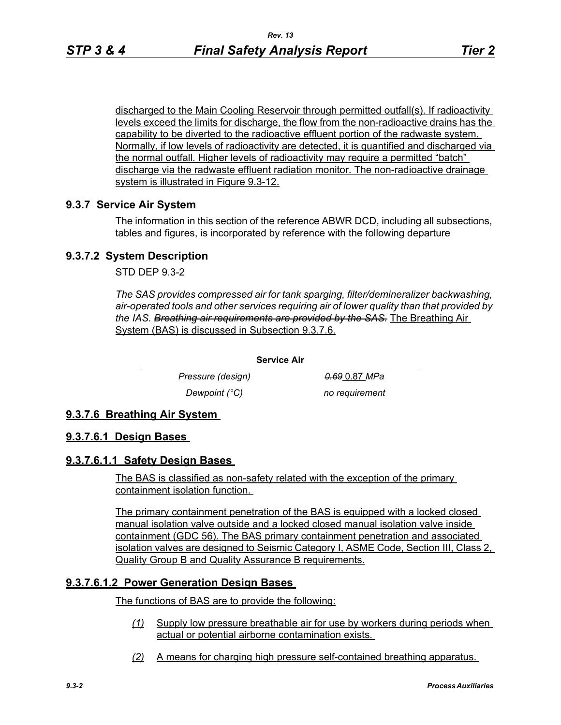discharged to the Main Cooling Reservoir through permitted outfall(s). If radioactivity levels exceed the limits for discharge, the flow from the non-radioactive drains has the capability to be diverted to the radioactive effluent portion of the radwaste system. Normally, if low levels of radioactivity are detected, it is quantified and discharged via the normal outfall. Higher levels of radioactivity may require a permitted "batch" discharge via the radwaste effluent radiation monitor. The non-radioactive drainage system is illustrated in Figure 9.3-12.

### **9.3.7 Service Air System**

The information in this section of the reference ABWR DCD, including all subsections, tables and figures, is incorporated by reference with the following departure

### **9.3.7.2 System Description**

STD DEP 9.3-2

*The SAS provides compressed air for tank sparging, filter/demineralizer backwashing, air-operated tools and other services requiring air of lower quality than that provided by the IAS. Breathing air requirements are provided by the SAS.* The Breathing Air System (BAS) is discussed in Subsection 9.3.7.6.

> *Pressure (design) 0.69* 0.87 *MPa Dewpoint (°C)* no requirement

# **9.3.7.6 Breathing Air System**

### **9.3.7.6.1 Design Bases**

### **9.3.7.6.1.1 Safety Design Bases**

The BAS is classified as non-safety related with the exception of the primary containment isolation function.

**Service Air**

The primary containment penetration of the BAS is equipped with a locked closed manual isolation valve outside and a locked closed manual isolation valve inside containment (GDC 56). The BAS primary containment penetration and associated isolation valves are designed to Seismic Category I, ASME Code, Section III, Class 2, Quality Group B and Quality Assurance B requirements.

# **9.3.7.6.1.2 Power Generation Design Bases**

The functions of BAS are to provide the following:

- *(1)* Supply low pressure breathable air for use by workers during periods when actual or potential airborne contamination exists.
- *(2)* A means for charging high pressure self-contained breathing apparatus.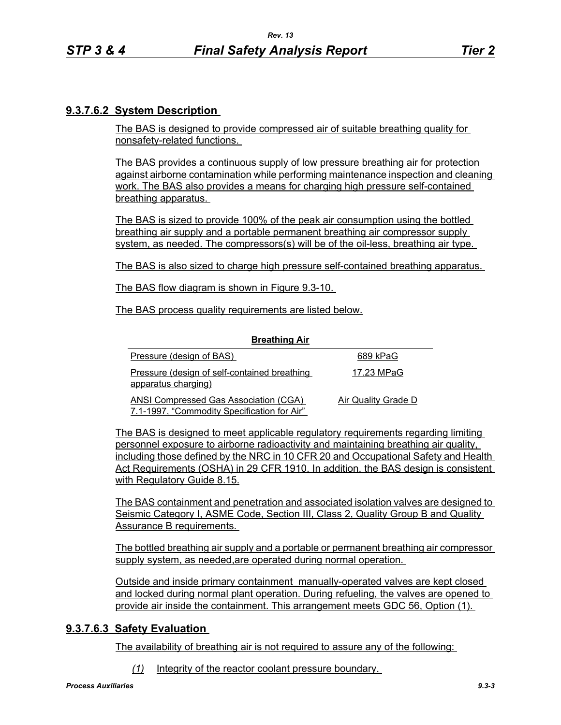# **9.3.7.6.2 System Description**

The BAS is designed to provide compressed air of suitable breathing quality for nonsafety-related functions.

The BAS provides a continuous supply of low pressure breathing air for protection against airborne contamination while performing maintenance inspection and cleaning work. The BAS also provides a means for charging high pressure self-contained breathing apparatus.

The BAS is sized to provide 100% of the peak air consumption using the bottled breathing air supply and a portable permanent breathing air compressor supply system, as needed. The compressors(s) will be of the oil-less, breathing air type.

The BAS is also sized to charge high pressure self-contained breathing apparatus.

The BAS flow diagram is shown in Figure 9.3-10.

The BAS process quality requirements are listed below.

| <b>Breathing Air</b>                                                                        |                     |
|---------------------------------------------------------------------------------------------|---------------------|
| Pressure (design of BAS)                                                                    | 689 kPaG            |
| Pressure (design of self-contained breathing<br>apparatus charging)                         | 17.23 MPaG          |
| <b>ANSI Compressed Gas Association (CGA)</b><br>7.1-1997, "Commodity Specification for Air" | Air Quality Grade D |

**Breathing Air**

The BAS is designed to meet applicable regulatory requirements regarding limiting personnel exposure to airborne radioactivity and maintaining breathing air quality, including those defined by the NRC in 10 CFR 20 and Occupational Safety and Health Act Requirements (OSHA) in 29 CFR 1910. In addition, the BAS design is consistent with Regulatory Guide 8.15.

The BAS containment and penetration and associated isolation valves are designed to Seismic Category I, ASME Code, Section III, Class 2, Quality Group B and Quality Assurance B requirements.

The bottled breathing air supply and a portable or permanent breathing air compressor supply system, as needed,are operated during normal operation.

Outside and inside primary containment manually-operated valves are kept closed and locked during normal plant operation. During refueling, the valves are opened to provide air inside the containment. This arrangement meets GDC 56, Option (1).

# **9.3.7.6.3 Safety Evaluation**

The availability of breathing air is not required to assure any of the following:

*(1)* Integrity of the reactor coolant pressure boundary.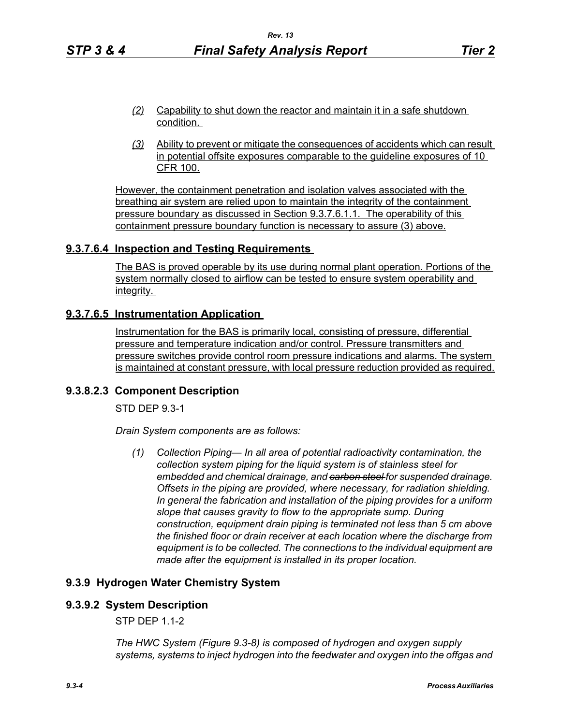- *(2)* Capability to shut down the reactor and maintain it in a safe shutdown condition.
- *(3)* Ability to prevent or mitigate the consequences of accidents which can result in potential offsite exposures comparable to the guideline exposures of 10 CFR 100.

However, the containment penetration and isolation valves associated with the breathing air system are relied upon to maintain the integrity of the containment pressure boundary as discussed in Section 9.3.7.6.1.1. The operability of this containment pressure boundary function is necessary to assure (3) above.

# **9.3.7.6.4 Inspection and Testing Requirements**

The BAS is proved operable by its use during normal plant operation. Portions of the system normally closed to airflow can be tested to ensure system operability and integrity.

### **9.3.7.6.5 Instrumentation Application**

Instrumentation for the BAS is primarily local, consisting of pressure, differential pressure and temperature indication and/or control. Pressure transmitters and pressure switches provide control room pressure indications and alarms. The system is maintained at constant pressure, with local pressure reduction provided as required.

### **9.3.8.2.3 Component Description**

STD DEP 9.3-1

*Drain System components are as follows:*

*(1) Collection Piping— In all area of potential radioactivity contamination, the collection system piping for the liquid system is of stainless steel for embedded and chemical drainage, and carbon steel for suspended drainage. Offsets in the piping are provided, where necessary, for radiation shielding. In general the fabrication and installation of the piping provides for a uniform slope that causes gravity to flow to the appropriate sump. During construction, equipment drain piping is terminated not less than 5 cm above the finished floor or drain receiver at each location where the discharge from equipment is to be collected. The connections to the individual equipment are made after the equipment is installed in its proper location.*

# **9.3.9 Hydrogen Water Chemistry System**

# **9.3.9.2 System Description**

STP DEP 1.1-2

*The HWC System (Figure 9.3-8) is composed of hydrogen and oxygen supply systems, systems to inject hydrogen into the feedwater and oxygen into the offgas and*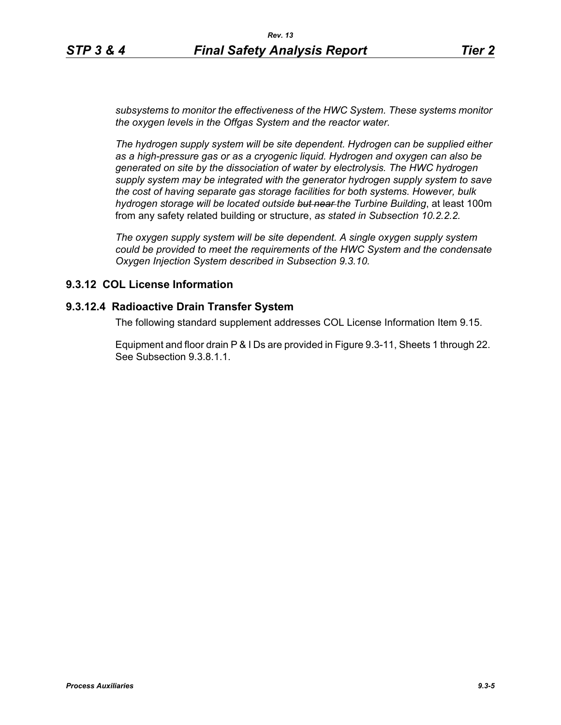*subsystems to monitor the effectiveness of the HWC System. These systems monitor the oxygen levels in the Offgas System and the reactor water.*

*The hydrogen supply system will be site dependent. Hydrogen can be supplied either as a high-pressure gas or as a cryogenic liquid. Hydrogen and oxygen can also be generated on site by the dissociation of water by electrolysis. The HWC hydrogen supply system may be integrated with the generator hydrogen supply system to save the cost of having separate gas storage facilities for both systems. However, bulk hydrogen storage will be located outside but near the Turbine Building*, at least 100m from any safety related building or structure, *as stated in Subsection 10.2.2.2.*

*The oxygen supply system will be site dependent. A single oxygen supply system could be provided to meet the requirements of the HWC System and the condensate Oxygen Injection System described in Subsection 9.3.10.*

### **9.3.12 COL License Information**

#### **9.3.12.4 Radioactive Drain Transfer System**

The following standard supplement addresses COL License Information Item 9.15.

Equipment and floor drain P & I Ds are provided in Figure 9.3-11, Sheets 1 through 22. See Subsection 9.3.8.1.1.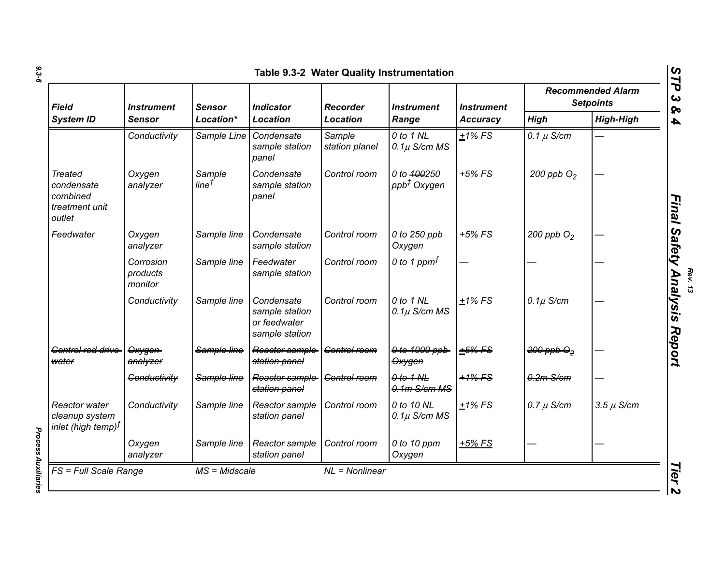| <b>Field</b><br><b>System ID</b>                                     | <b>Instrument</b><br><b>Sensor</b><br><b>Sensor</b> |                            | <b>Indicator</b><br><b>Location</b>                            | <b>Recorder</b><br><b>Location</b> | <b>Instrument</b><br>Range             | <b>Instrument</b><br><b>Accuracy</b> | <b>Recommended Alarm</b><br><b>Setpoints</b> |                  |
|----------------------------------------------------------------------|-----------------------------------------------------|----------------------------|----------------------------------------------------------------|------------------------------------|----------------------------------------|--------------------------------------|----------------------------------------------|------------------|
|                                                                      |                                                     | Location*                  |                                                                |                                    |                                        |                                      | <b>High</b>                                  | <b>High-High</b> |
|                                                                      | Conductivity                                        | Sample Line                | Condensate<br>sample station<br>panel                          | Sample<br>station planel           | 0 to 1 NL<br>$0.1\mu$ S/cm MS          | $±1\%$ FS                            | 0.1 $\mu$ S/cm                               |                  |
| <b>Treated</b><br>condensate<br>combined<br>treatment unit<br>outlet | Oxygen<br>analyzer                                  | Sample<br>$line^{\dagger}$ | Condensate<br>sample station<br>panel                          | Control room                       | 0 to 400250<br>ppb <sup>‡</sup> Oxygen | $+5\%$ FS                            | 200 ppb $O2$                                 |                  |
| Feedwater                                                            | Oxygen<br>analyzer                                  | Sample line                | Condensate<br>sample station                                   | Control room                       | 0 to 250 ppb<br>Oxygen                 | $+5%$ FS                             | 200 ppb $O2$                                 |                  |
|                                                                      | Corrosion<br>products<br>monitor                    | Sample line                | Feedwater<br>sample station                                    | Control room                       | 0 to 1 ppm $f$                         |                                      |                                              |                  |
|                                                                      | Conductivity                                        | Sample line                | Condensate<br>sample station<br>or feedwater<br>sample station | Control room                       | 0 to 1 NL<br>$0.1\mu$ S/cm MS          | $+1\%$ FS                            | $0.1\mu$ S/cm                                |                  |
| Control rod drive<br>water                                           | Oxygen-<br>analyzer                                 | Sample line                | Reactor sample<br>station panel                                | <b>Control room</b>                | 0 to 1000 ppb-<br><b>Oxygen</b>        | +5% FS                               | $200$ ppb $\Theta_2$                         |                  |
|                                                                      | Conductivity                                        | Sample line                | Reactor sample-<br>station panel                               | <b>Control room</b>                | $0$ to $1$ NL<br>$0.1m$ S/cm MS        | +1% FS                               | $0.2m$ S/cm                                  |                  |
| Reactor water<br>cleanup system<br>inlet (high temp) $f$             | Conductivity                                        | Sample line                | Reactor sample<br>station panel                                | Control room                       | 0 to 10 NL<br>$0.1\mu$ S/cm MS         | $±1\%$ FS                            | $0.7 \mu$ S/cm                               | $3.5 \mu$ S/cm   |
|                                                                      | Oxygen<br>analyzer                                  | Sample line                | Reactor sample<br>station panel                                | Control room                       | 0 to 10 ppm<br>Oxygen                  | $+5%$ FS                             |                                              |                  |

**Process Auxiliaries** *Process Auxiliaries* 

*Rev. 13*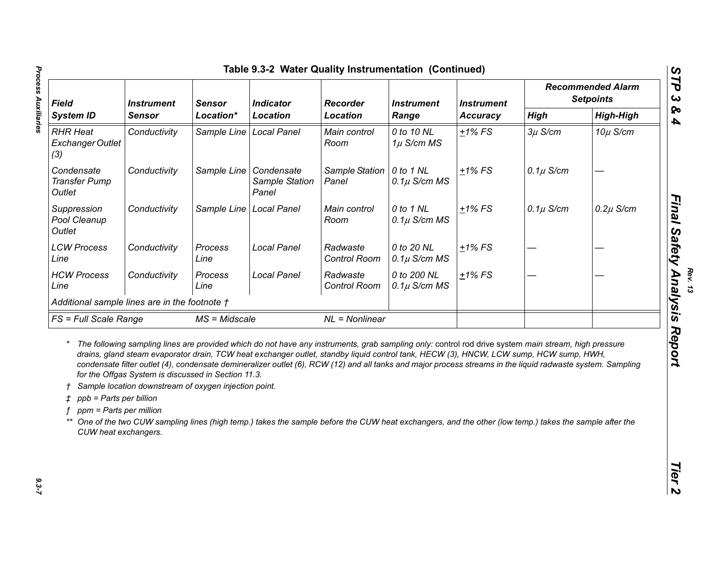| <b>Field</b><br><b>System ID</b>                                                       | <b>Instrument</b>                                                                                            | <b>Sensor</b>             | <b>Indicator</b><br>Recorder<br><b>Location</b>                                                                                                                                                                                                                                                                                                                                                                                                                                                                                                                                                                       |                          | <b>Instrument</b><br>Range      | <b>Instrument</b><br><b>Accuracy</b> | <b>Recommended Alarm</b><br><b>Setpoints</b> |                  |
|----------------------------------------------------------------------------------------|--------------------------------------------------------------------------------------------------------------|---------------------------|-----------------------------------------------------------------------------------------------------------------------------------------------------------------------------------------------------------------------------------------------------------------------------------------------------------------------------------------------------------------------------------------------------------------------------------------------------------------------------------------------------------------------------------------------------------------------------------------------------------------------|--------------------------|---------------------------------|--------------------------------------|----------------------------------------------|------------------|
|                                                                                        | <b>Sensor</b>                                                                                                | Location*                 |                                                                                                                                                                                                                                                                                                                                                                                                                                                                                                                                                                                                                       | <b>Location</b>          |                                 |                                      | <b>High</b>                                  | <b>High-High</b> |
| <b>RHR Heat</b><br><b>Exchanger Outlet</b><br>(3)                                      | Conductivity                                                                                                 | Sample Line   Local Panel |                                                                                                                                                                                                                                                                                                                                                                                                                                                                                                                                                                                                                       | Main control<br>Room     | 0 to 10 NL<br>$1\mu$ S/cm MS    | $±1\%$ FS                            | $3\mu$ S/cm                                  | $10\mu$ S/cm     |
| Condensate<br><b>Transfer Pump</b><br>Outlet                                           | Conductivity                                                                                                 |                           | Sample Line   Condensate<br>Sample Station<br>Panel                                                                                                                                                                                                                                                                                                                                                                                                                                                                                                                                                                   | Sample Station<br>Panel  | 0 to 1 NL<br>$0.1\mu$ S/cm MS   | $+1\%$ FS                            | $0.1\mu$ S/cm                                |                  |
| Suppression<br>Pool Cleanup<br>Outlet                                                  | Conductivity                                                                                                 | Sample Line   Local Panel |                                                                                                                                                                                                                                                                                                                                                                                                                                                                                                                                                                                                                       | Main control<br>Room     | 0 to 1 NL<br>$0.1\mu$ S/cm MS   | $+1\%$ FS                            | $0.1\mu$ S/cm                                | $0.2\mu$ S/cm    |
| <b>LCW Process</b><br>Line                                                             | Conductivity                                                                                                 | Process<br>Line           | <b>Local Panel</b>                                                                                                                                                                                                                                                                                                                                                                                                                                                                                                                                                                                                    | Radwaste<br>Control Room | 0 to 20 NL<br>$0.1\mu$ S/cm MS  | $+1\%$ FS                            |                                              |                  |
| <b>HCW Process</b><br>Line                                                             | Conductivity                                                                                                 | Process<br>Line           | <b>Local Panel</b>                                                                                                                                                                                                                                                                                                                                                                                                                                                                                                                                                                                                    | Radwaste<br>Control Room | 0 to 200 NL<br>$0.1\mu$ S/cm MS | $+1\%$ FS                            |                                              |                  |
| Additional sample lines are in the footnote †                                          |                                                                                                              |                           |                                                                                                                                                                                                                                                                                                                                                                                                                                                                                                                                                                                                                       |                          |                                 |                                      |                                              |                  |
| FS = Full Scale Range                                                                  |                                                                                                              | $MS = Midscale$           |                                                                                                                                                                                                                                                                                                                                                                                                                                                                                                                                                                                                                       | $NL = Nonlinear$         |                                 |                                      |                                              |                  |
| $^\star$<br>ppb = Parts per billion<br>ppm = Parts per million<br>CUW heat exchangers. | for the Offgas System is discussed in Section 11.3.<br>Sample location downstream of oxygen injection point. |                           | The following sampling lines are provided which do not have any instruments, grab sampling only: control rod drive system main stream, high pressure<br>drains, gland steam evaporator drain, TCW heat exchanger outlet, standby liquid control tank, HECW (3), HNCW, LCW sump, HCW sump, HWH,<br>condensate filter outlet (4), condensate demineralizer outlet (6), RCW (12) and all tanks and major process streams in the liquid radwaste system. Sampling<br>One of the two CUW sampling lines (high temp.) takes the sample before the CUW heat exchangers, and the other (low temp.) takes the sample after the |                          |                                 |                                      |                                              |                  |
|                                                                                        |                                                                                                              |                           |                                                                                                                                                                                                                                                                                                                                                                                                                                                                                                                                                                                                                       |                          |                                 |                                      |                                              |                  |

*Rev. 13*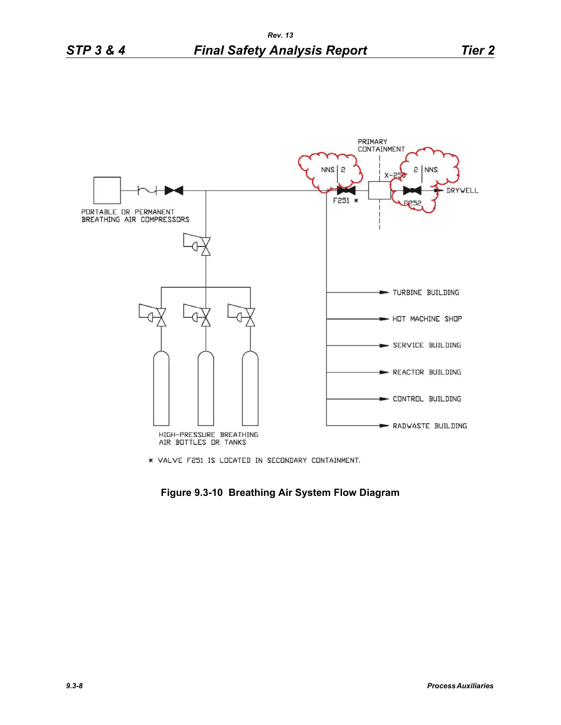

\* VALVE F251 IS LOCATED IN SECONDARY CONTAINMENT.

**Figure 9.3-10 Breathing Air System Flow Diagram**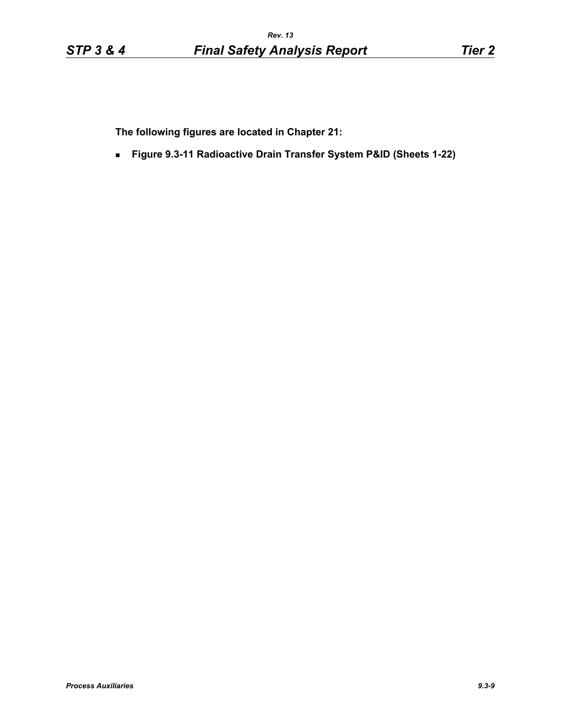**The following figures are located in Chapter 21:**

**Figure 9.3-11 Radioactive Drain Transfer System P&ID (Sheets 1-22)**